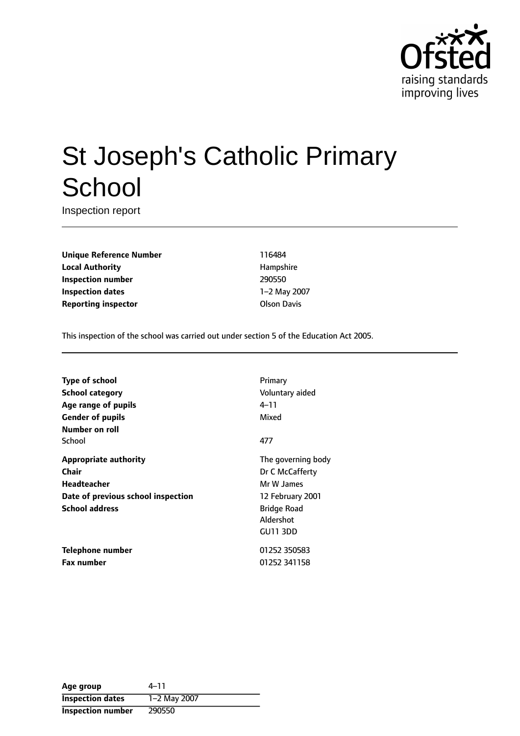

# St Joseph's Catholic Primary **School**

Inspection report

**Unique Reference Number** 116484 **Local Authority Hampshire Inspection number** 290550 **Inspection dates** 1-2 May 2007 **Reporting inspector COLSON DAVIS Reporting** inspector

This inspection of the school was carried out under section 5 of the Education Act 2005.

| Type of school                     | Primary            |
|------------------------------------|--------------------|
| School category                    | Voluntary aided    |
| Age range of pupils                | 4–11               |
| <b>Gender of pupils</b>            | Mixed              |
| Number on roll                     |                    |
| School                             | 477                |
| <b>Appropriate authority</b>       | The governing body |
| Chair                              | Dr C McCafferty    |
| Headteacher                        | Mr W James         |
| Date of previous school inspection | 12 February 2001   |
| <b>School address</b>              | <b>Bridge Road</b> |
|                                    | Aldershot          |
|                                    | GU11 3DD           |
| Telephone number                   | 01252 350583       |
| <b>Fax number</b>                  | 01252 341158       |

| Age group                | 4–11         |
|--------------------------|--------------|
| <b>Inspection dates</b>  | 1-2 May 2007 |
| <b>Inspection number</b> | 290550       |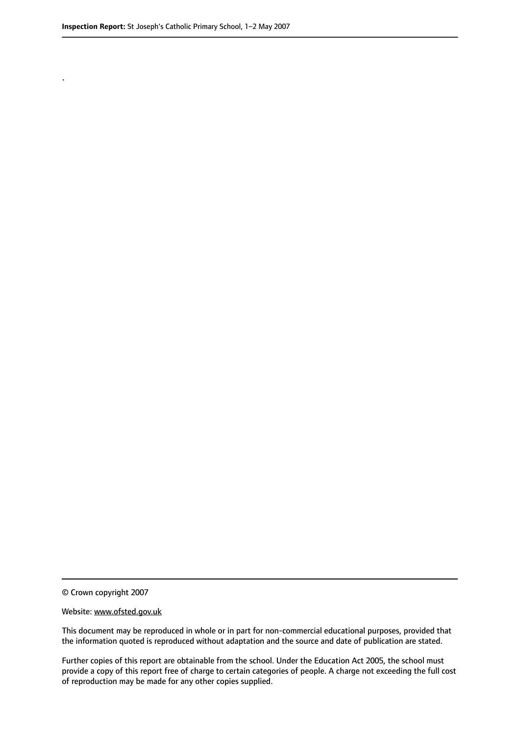.

© Crown copyright 2007

#### Website: www.ofsted.gov.uk

This document may be reproduced in whole or in part for non-commercial educational purposes, provided that the information quoted is reproduced without adaptation and the source and date of publication are stated.

Further copies of this report are obtainable from the school. Under the Education Act 2005, the school must provide a copy of this report free of charge to certain categories of people. A charge not exceeding the full cost of reproduction may be made for any other copies supplied.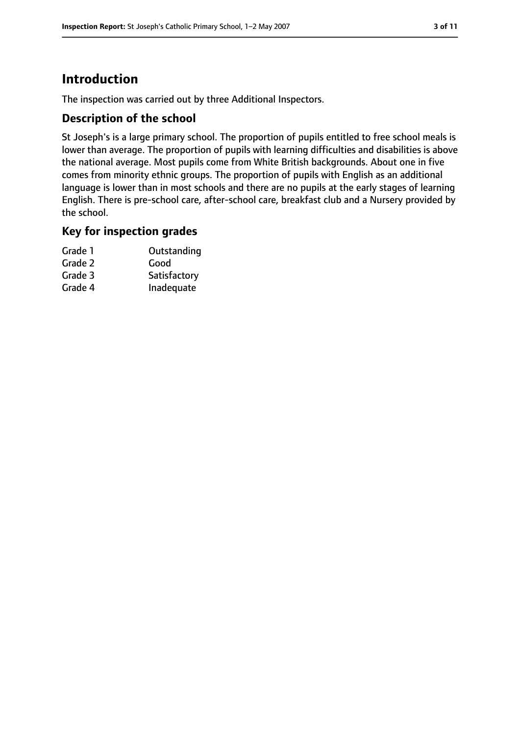# **Introduction**

The inspection was carried out by three Additional Inspectors.

#### **Description of the school**

St Joseph's is a large primary school. The proportion of pupils entitled to free school meals is lower than average. The proportion of pupils with learning difficulties and disabilities is above the national average. Most pupils come from White British backgrounds. About one in five comes from minority ethnic groups. The proportion of pupils with English as an additional language is lower than in most schools and there are no pupils at the early stages of learning English. There is pre-school care, after-school care, breakfast club and a Nursery provided by the school.

#### **Key for inspection grades**

| Grade 1 | Outstanding  |
|---------|--------------|
| Grade 2 | Good         |
| Grade 3 | Satisfactory |
| Grade 4 | Inadequate   |
|         |              |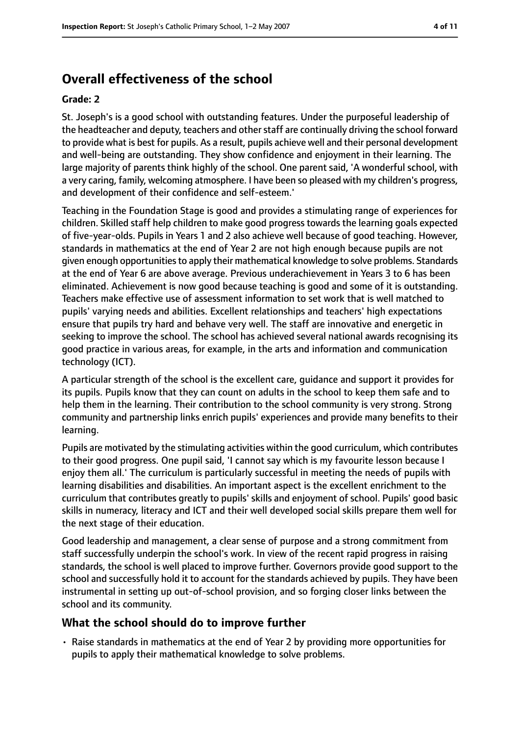# **Overall effectiveness of the school**

#### **Grade: 2**

St. Joseph's is a good school with outstanding features. Under the purposeful leadership of the headteacher and deputy, teachers and other staff are continually driving the school forward to provide what is best for pupils. As a result, pupils achieve well and their personal development and well-being are outstanding. They show confidence and enjoyment in their learning. The large majority of parents think highly of the school. One parent said, 'A wonderful school, with a very caring, family, welcoming atmosphere. I have been so pleased with my children's progress, and development of their confidence and self-esteem.'

Teaching in the Foundation Stage is good and provides a stimulating range of experiences for children. Skilled staff help children to make good progress towards the learning goals expected of five-year-olds. Pupils in Years 1 and 2 also achieve well because of good teaching. However, standards in mathematics at the end of Year 2 are not high enough because pupils are not given enough opportunitiesto apply their mathematical knowledge to solve problems. Standards at the end of Year 6 are above average. Previous underachievement in Years 3 to 6 has been eliminated. Achievement is now good because teaching is good and some of it is outstanding. Teachers make effective use of assessment information to set work that is well matched to pupils' varying needs and abilities. Excellent relationships and teachers' high expectations ensure that pupils try hard and behave very well. The staff are innovative and energetic in seeking to improve the school. The school has achieved several national awards recognising its good practice in various areas, for example, in the arts and information and communication technology (ICT).

A particular strength of the school is the excellent care, guidance and support it provides for its pupils. Pupils know that they can count on adults in the school to keep them safe and to help them in the learning. Their contribution to the school community is very strong. Strong community and partnership links enrich pupils' experiences and provide many benefits to their learning.

Pupils are motivated by the stimulating activities within the good curriculum, which contributes to their good progress. One pupil said, 'I cannot say which is my favourite lesson because I enjoy them all.' The curriculum is particularly successful in meeting the needs of pupils with learning disabilities and disabilities. An important aspect is the excellent enrichment to the curriculum that contributes greatly to pupils' skills and enjoyment of school. Pupils' good basic skills in numeracy, literacy and ICT and their well developed social skills prepare them well for the next stage of their education.

Good leadership and management, a clear sense of purpose and a strong commitment from staff successfully underpin the school's work. In view of the recent rapid progress in raising standards, the school is well placed to improve further. Governors provide good support to the school and successfully hold it to account for the standards achieved by pupils. They have been instrumental in setting up out-of-school provision, and so forging closer links between the school and its community.

#### **What the school should do to improve further**

• Raise standards in mathematics at the end of Year 2 by providing more opportunities for pupils to apply their mathematical knowledge to solve problems.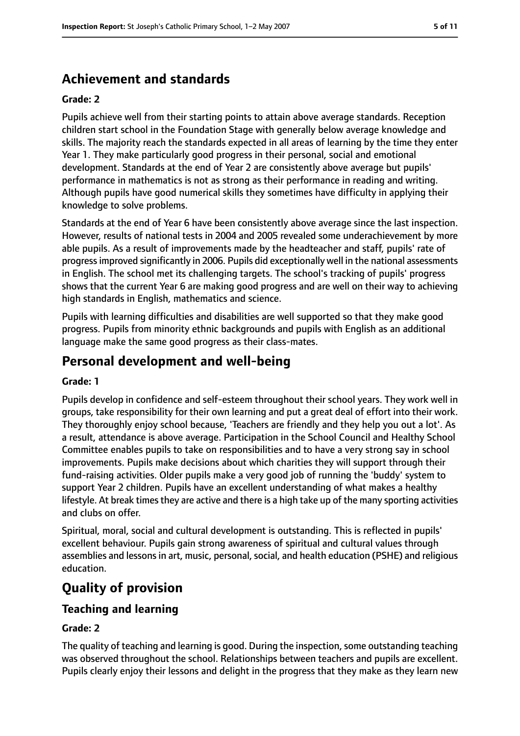## **Achievement and standards**

#### **Grade: 2**

Pupils achieve well from their starting points to attain above average standards. Reception children start school in the Foundation Stage with generally below average knowledge and skills. The majority reach the standards expected in all areas of learning by the time they enter Year 1. They make particularly good progress in their personal, social and emotional development. Standards at the end of Year 2 are consistently above average but pupils' performance in mathematics is not as strong as their performance in reading and writing. Although pupils have good numerical skills they sometimes have difficulty in applying their knowledge to solve problems.

Standards at the end of Year 6 have been consistently above average since the last inspection. However, results of national tests in 2004 and 2005 revealed some underachievement by more able pupils. As a result of improvements made by the headteacher and staff, pupils' rate of progressimproved significantly in 2006. Pupils did exceptionally well in the national assessments in English. The school met its challenging targets. The school's tracking of pupils' progress shows that the current Year 6 are making good progress and are well on their way to achieving high standards in English, mathematics and science.

Pupils with learning difficulties and disabilities are well supported so that they make good progress. Pupils from minority ethnic backgrounds and pupils with English as an additional language make the same good progress as their class-mates.

## **Personal development and well-being**

#### **Grade: 1**

Pupils develop in confidence and self-esteem throughout their school years. They work well in groups, take responsibility for their own learning and put a great deal of effort into their work. They thoroughly enjoy school because, 'Teachers are friendly and they help you out a lot'. As a result, attendance is above average. Participation in the School Council and Healthy School Committee enables pupils to take on responsibilities and to have a very strong say in school improvements. Pupils make decisions about which charities they will support through their fund-raising activities. Older pupils make a very good job of running the 'buddy' system to support Year 2 children. Pupils have an excellent understanding of what makes a healthy lifestyle. At break times they are active and there is a high take up of the many sporting activities and clubs on offer.

Spiritual, moral, social and cultural development is outstanding. This is reflected in pupils' excellent behaviour. Pupils gain strong awareness of spiritual and cultural values through assemblies and lessons in art, music, personal, social, and health education (PSHE) and religious education.

## **Quality of provision**

## **Teaching and learning**

#### **Grade: 2**

The quality of teaching and learning is good. During the inspection, some outstanding teaching was observed throughout the school. Relationships between teachers and pupils are excellent. Pupils clearly enjoy their lessons and delight in the progress that they make as they learn new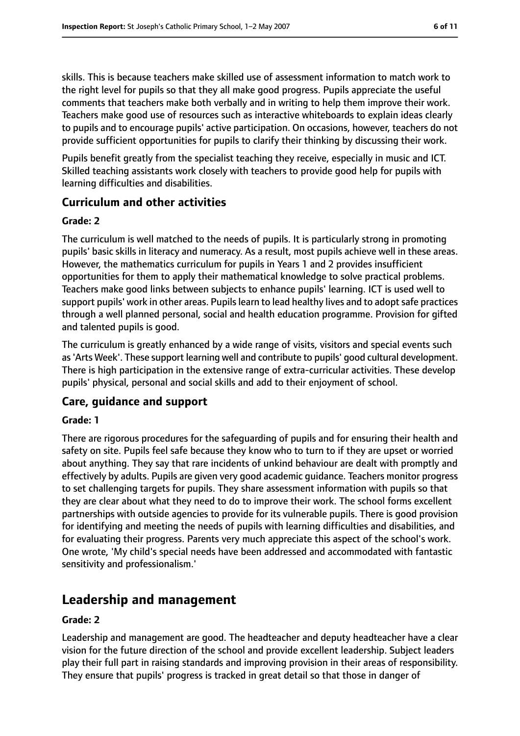skills. This is because teachers make skilled use of assessment information to match work to the right level for pupils so that they all make good progress. Pupils appreciate the useful comments that teachers make both verbally and in writing to help them improve their work. Teachers make good use of resources such as interactive whiteboards to explain ideas clearly to pupils and to encourage pupils' active participation. On occasions, however, teachers do not provide sufficient opportunities for pupils to clarify their thinking by discussing their work.

Pupils benefit greatly from the specialist teaching they receive, especially in music and ICT. Skilled teaching assistants work closely with teachers to provide good help for pupils with learning difficulties and disabilities.

#### **Curriculum and other activities**

#### **Grade: 2**

The curriculum is well matched to the needs of pupils. It is particularly strong in promoting pupils' basic skills in literacy and numeracy. As a result, most pupils achieve well in these areas. However, the mathematics curriculum for pupils in Years 1 and 2 provides insufficient opportunities for them to apply their mathematical knowledge to solve practical problems. Teachers make good links between subjects to enhance pupils' learning. ICT is used well to support pupils' work in other areas. Pupils learn to lead healthy lives and to adopt safe practices through a well planned personal, social and health education programme. Provision for gifted and talented pupils is good.

The curriculum is greatly enhanced by a wide range of visits, visitors and special events such as'Arts Week'. These support learning well and contribute to pupils' good cultural development. There is high participation in the extensive range of extra-curricular activities. These develop pupils' physical, personal and social skills and add to their enjoyment of school.

#### **Care, guidance and support**

#### **Grade: 1**

There are rigorous procedures for the safeguarding of pupils and for ensuring their health and safety on site. Pupils feel safe because they know who to turn to if they are upset or worried about anything. They say that rare incidents of unkind behaviour are dealt with promptly and effectively by adults. Pupils are given very good academic guidance. Teachers monitor progress to set challenging targets for pupils. They share assessment information with pupils so that they are clear about what they need to do to improve their work. The school forms excellent partnerships with outside agencies to provide for its vulnerable pupils. There is good provision for identifying and meeting the needs of pupils with learning difficulties and disabilities, and for evaluating their progress. Parents very much appreciate this aspect of the school's work. One wrote, 'My child's special needs have been addressed and accommodated with fantastic sensitivity and professionalism.'

## **Leadership and management**

#### **Grade: 2**

Leadership and management are good. The headteacher and deputy headteacher have a clear vision for the future direction of the school and provide excellent leadership. Subject leaders play their full part in raising standards and improving provision in their areas of responsibility. They ensure that pupils' progress is tracked in great detail so that those in danger of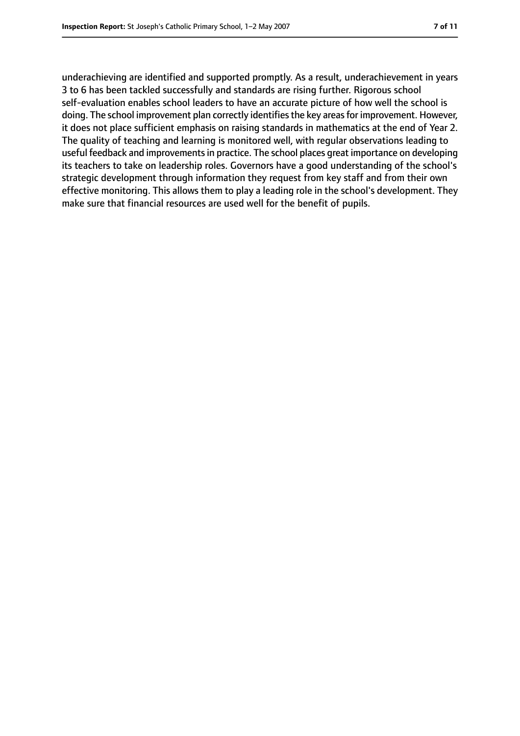underachieving are identified and supported promptly. As a result, underachievement in years 3 to 6 has been tackled successfully and standards are rising further. Rigorous school self-evaluation enables school leaders to have an accurate picture of how well the school is doing. The school improvement plan correctly identifies the key areas for improvement. However, it does not place sufficient emphasis on raising standards in mathematics at the end of Year 2. The quality of teaching and learning is monitored well, with regular observations leading to useful feedback and improvements in practice. The school places great importance on developing its teachers to take on leadership roles. Governors have a good understanding of the school's strategic development through information they request from key staff and from their own effective monitoring. This allows them to play a leading role in the school's development. They make sure that financial resources are used well for the benefit of pupils.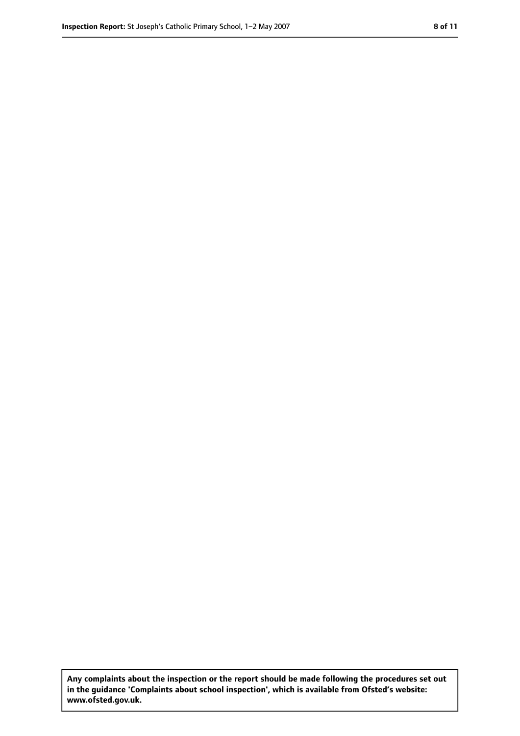**Any complaints about the inspection or the report should be made following the procedures set out in the guidance 'Complaints about school inspection', which is available from Ofsted's website: www.ofsted.gov.uk.**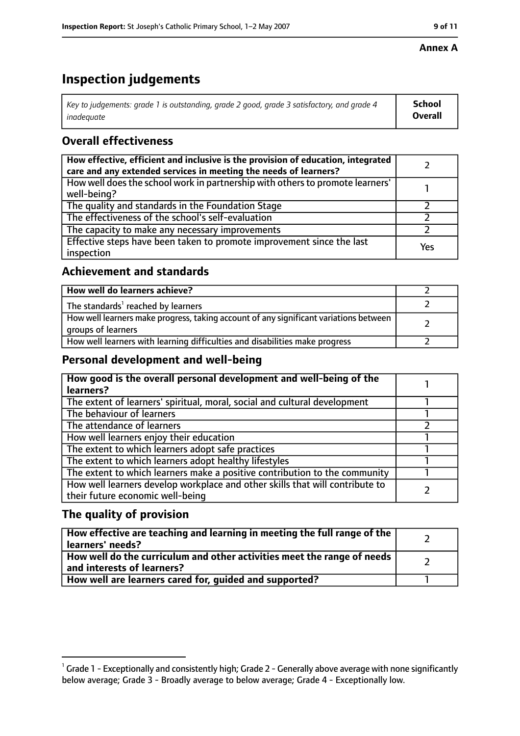#### **Annex A**

# **Inspection judgements**

| Key to judgements: grade 1 is outstanding, grade 2 good, grade 3 satisfactory, and grade 4 $\,$ | <b>School</b>  |
|-------------------------------------------------------------------------------------------------|----------------|
| inadequate                                                                                      | <b>Overall</b> |

## **Overall effectiveness**

| How effective, efficient and inclusive is the provision of education, integrated<br>care and any extended services in meeting the needs of learners? |     |
|------------------------------------------------------------------------------------------------------------------------------------------------------|-----|
| How well does the school work in partnership with others to promote learners'<br>well-being?                                                         |     |
| The quality and standards in the Foundation Stage                                                                                                    |     |
| The effectiveness of the school's self-evaluation                                                                                                    |     |
| The capacity to make any necessary improvements                                                                                                      |     |
| Effective steps have been taken to promote improvement since the last<br>inspection                                                                  | Yes |

## **Achievement and standards**

| How well do learners achieve?                                                                               |  |
|-------------------------------------------------------------------------------------------------------------|--|
| The standards <sup>1</sup> reached by learners                                                              |  |
| How well learners make progress, taking account of any significant variations between<br>groups of learners |  |
| How well learners with learning difficulties and disabilities make progress                                 |  |

## **Personal development and well-being**

| How good is the overall personal development and well-being of the<br>learners?                                  |  |
|------------------------------------------------------------------------------------------------------------------|--|
| The extent of learners' spiritual, moral, social and cultural development                                        |  |
| The behaviour of learners                                                                                        |  |
| The attendance of learners                                                                                       |  |
| How well learners enjoy their education                                                                          |  |
| The extent to which learners adopt safe practices                                                                |  |
| The extent to which learners adopt healthy lifestyles                                                            |  |
| The extent to which learners make a positive contribution to the community                                       |  |
| How well learners develop workplace and other skills that will contribute to<br>their future economic well-being |  |

## **The quality of provision**

| How effective are teaching and learning in meeting the full range of the<br>learners' needs?          |  |
|-------------------------------------------------------------------------------------------------------|--|
| How well do the curriculum and other activities meet the range of needs<br>and interests of learners? |  |
| How well are learners cared for, quided and supported?                                                |  |

 $^1$  Grade 1 - Exceptionally and consistently high; Grade 2 - Generally above average with none significantly below average; Grade 3 - Broadly average to below average; Grade 4 - Exceptionally low.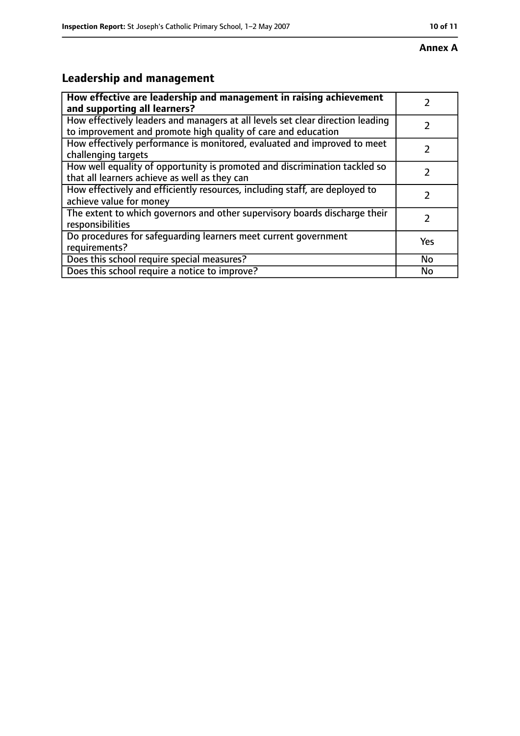#### **Annex A**

# **Leadership and management**

| How effective are leadership and management in raising achievement<br>and supporting all learners?                                              |           |
|-------------------------------------------------------------------------------------------------------------------------------------------------|-----------|
| How effectively leaders and managers at all levels set clear direction leading<br>to improvement and promote high quality of care and education |           |
| How effectively performance is monitored, evaluated and improved to meet<br>challenging targets                                                 |           |
| How well equality of opportunity is promoted and discrimination tackled so<br>that all learners achieve as well as they can                     |           |
| How effectively and efficiently resources, including staff, are deployed to<br>achieve value for money                                          |           |
| The extent to which governors and other supervisory boards discharge their<br>responsibilities                                                  | 7         |
| Do procedures for safequarding learners meet current government<br>requirements?                                                                | Yes       |
| Does this school require special measures?                                                                                                      | <b>No</b> |
| Does this school require a notice to improve?                                                                                                   | No        |